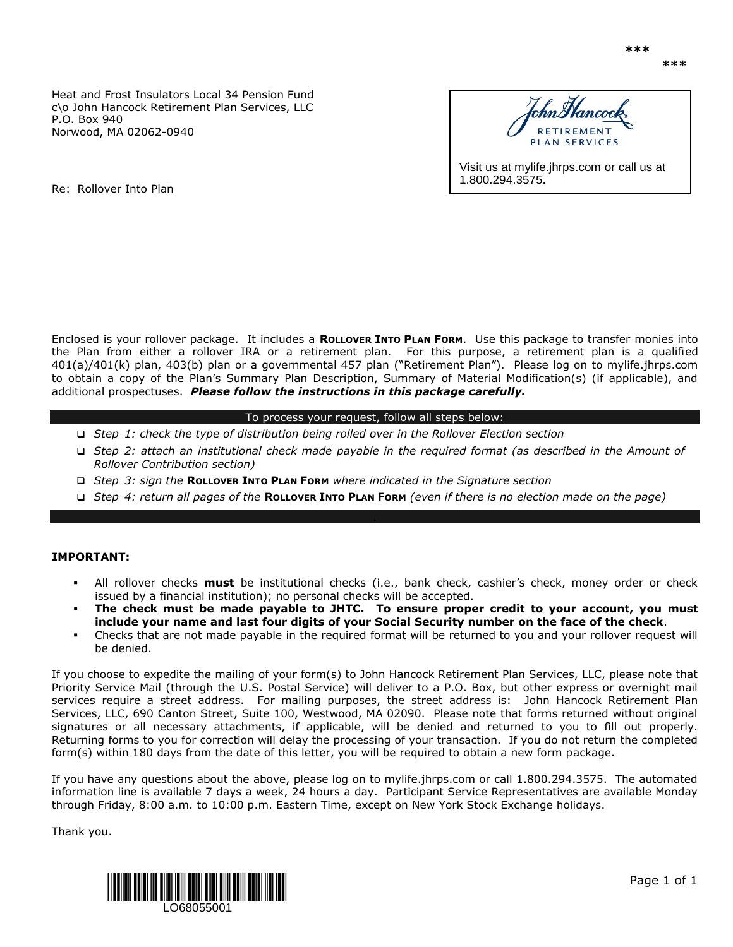Heat and Frost Insulators Local 34 Pension Fund c\o John Hancock Retirement Plan Services, LLC P.O. Box 940 Norwood, MA 02062-0940



1.800.294.3575.

Re: Rollover Into Plan

Enclosed is your rollover package. It includes a **ROLLOVER INTO PLAN FORM**. Use this package to transfer monies into the Plan from either a rollover IRA or a retirement plan. For this purpose, a retirement plan is a qualified 401(a)/401(k) plan, 403(b) plan or a governmental 457 plan ("Retirement Plan"). Please log on to mylife.jhrps.com to obtain a copy of the Plan's Summary Plan Description, Summary of Material Modification(s) (if applicable), and additional prospectuses. *Please follow the instructions in this package carefully.* 

### To process your request, follow all steps below:

- *Step 1: check the type of distribution being rolled over in the Rollover Election section*
- *Step 2: attach an institutional check made payable in the required format (as described in the Amount of Rollover Contribution section)*
- *Step 3: sign the* **ROLLOVER INTO PLAN FORM** *where indicated in the Signature section*
- *Step 4: return all pages of the* **ROLLOVER INTO PLAN FORM** *(even if there is no election made on the page)*

## **IMPORTANT:**

- All rollover checks **must** be institutional checks (i.e., bank check, cashier's check, money order or check issued by a financial institution); no personal checks will be accepted.
- **The check must be made payable to JHTC. To ensure proper credit to your account, you must include your name and last four digits of your Social Security number on the face of the check**.
- Checks that are not made payable in the required format will be returned to you and your rollover request will be denied.

If you choose to expedite the mailing of your form(s) to John Hancock Retirement Plan Services, LLC, please note that Priority Service Mail (through the U.S. Postal Service) will deliver to a P.O. Box, but other express or overnight mail services require a street address. For mailing purposes, the street address is: John Hancock Retirement Plan Services, LLC, 690 Canton Street, Suite 100, Westwood, MA 02090. Please note that forms returned without original signatures or all necessary attachments, if applicable, will be denied and returned to you to fill out properly. Returning forms to you for correction will delay the processing of your transaction. If you do not return the completed form(s) within 180 days from the date of this letter, you will be required to obtain a new form package.

If you have any questions about the above, please log on to mylife.jhrps.com or call 1.800.294.3575. The automated information line is available 7 days a week, 24 hours a day. Participant Service Representatives are available Monday through Friday, 8:00 a.m. to 10:00 p.m. Eastern Time, except on New York Stock Exchange holidays.

Thank you.

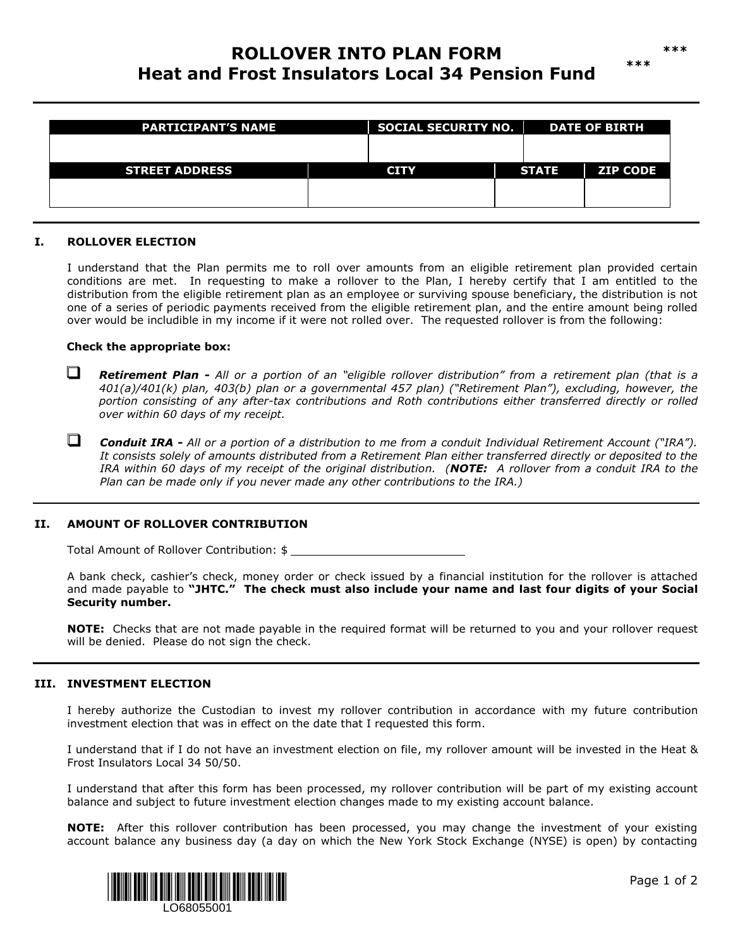# **ROLLOVER INTO PLAN FORM Heat and Frost Insulators Local 34 Pension Fund**

| <b>PARTICIPANT'S NAME</b> |  | <b>SOCIAL SECURITY NO.</b> |  | <b>DATE OF BIRTH</b> |                 |
|---------------------------|--|----------------------------|--|----------------------|-----------------|
| <b>STREET ADDRESS</b>     |  | <b>CITY</b>                |  | <b>STATE</b>         | <b>ZIP CODE</b> |
|                           |  |                            |  |                      |                 |

## **I. ROLLOVER ELECTION**

 $\Box$ 

I understand that the Plan permits me to roll over amounts from an eligible retirement plan provided certain conditions are met. In requesting to make a rollover to the Plan, I hereby certify that I am entitled to the distribution from the eligible retirement plan as an employee or surviving spouse beneficiary, the distribution is not one of a series of periodic payments received from the eligible retirement plan, and the entire amount being rolled over would be includible in my income if it were not rolled over. The requested rollover is from the following:

#### **Check the appropriate box:**

**Retirement Plan -** All or a portion of an "eligible rollover distribution" from a retirement plan (that is a *401(a)/401(k) plan, 403(b) plan or a governmental 457 plan) ("Retirement Plan"), excluding, however, the portion consisting of any after-tax contributions and Roth contributions either transferred directly or rolled over within 60 days of my receipt.* 

*Conduit IRA - All or a portion of a distribution to me from a conduit Individual Retirement Account ("IRA"). It consists solely of amounts distributed from a Retirement Plan either transferred directly or deposited to the IRA within 60 days of my receipt of the original distribution. (NOTE: A rollover from a conduit IRA to the Plan can be made only if you never made any other contributions to the IRA.)* 

#### **II. AMOUNT OF ROLLOVER CONTRIBUTION**

Total Amount of Rollover Contribution: \$

A bank check, cashier's check, money order or check issued by a financial institution for the rollover is attached and made payable to **"JHTC." The check must also include your name and last four digits of your Social Security number.**

**NOTE:** Checks that are not made payable in the required format will be returned to you and your rollover request will be denied. Please do not sign the check.

### **III. INVESTMENT ELECTION**

I hereby authorize the Custodian to invest my rollover contribution in accordance with my future contribution investment election that was in effect on the date that I requested this form.

I understand that if I do not have an investment election on file, my rollover amount will be invested in the Heat & Frost Insulators Local 34 50/50.

I understand that after this form has been processed, my rollover contribution will be part of my existing account balance and subject to future investment election changes made to my existing account balance.

**NOTE:** After this rollover contribution has been processed, you may change the investment of your existing account balance any business day (a day on which the New York Stock Exchange (NYSE) is open) by contacting



**\*\*\***